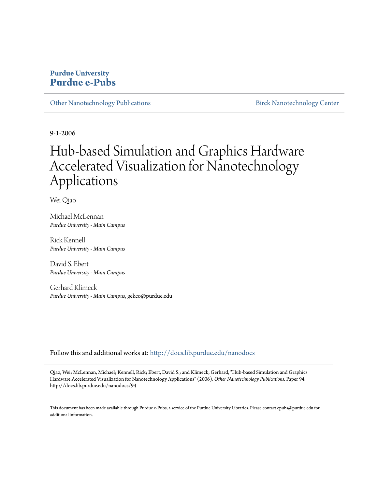### **Purdue University [Purdue e-Pubs](http://docs.lib.purdue.edu?utm_source=docs.lib.purdue.edu%2Fnanodocs%2F94&utm_medium=PDF&utm_campaign=PDFCoverPages)**

[Other Nanotechnology Publications](http://docs.lib.purdue.edu/nanodocs?utm_source=docs.lib.purdue.edu%2Fnanodocs%2F94&utm_medium=PDF&utm_campaign=PDFCoverPages) [Birck Nanotechnology Center](http://docs.lib.purdue.edu/nano?utm_source=docs.lib.purdue.edu%2Fnanodocs%2F94&utm_medium=PDF&utm_campaign=PDFCoverPages)

9-1-2006

# Hub-based Simulation and Graphics Hardware Accelerated Visualization for Nanotechnology Applications

Wei Qiao

Michael McLennan *Purdue University - Main Campus*

Rick Kennell *Purdue University - Main Campus*

David S. Ebert *Purdue University - Main Campus*

Gerhard Klimeck *Purdue University - Main Campus*, gekco@purdue.edu

Follow this and additional works at: [http://docs.lib.purdue.edu/nanodocs](http://docs.lib.purdue.edu/nanodocs?utm_source=docs.lib.purdue.edu%2Fnanodocs%2F94&utm_medium=PDF&utm_campaign=PDFCoverPages)

Qiao, Wei; McLennan, Michael; Kennell, Rick; Ebert, David S.; and Klimeck, Gerhard, "Hub-based Simulation and Graphics Hardware Accelerated Visualization for Nanotechnology Applications" (2006). *Other Nanotechnology Publications.* Paper 94. http://docs.lib.purdue.edu/nanodocs/94

This document has been made available through Purdue e-Pubs, a service of the Purdue University Libraries. Please contact epubs@purdue.edu for additional information.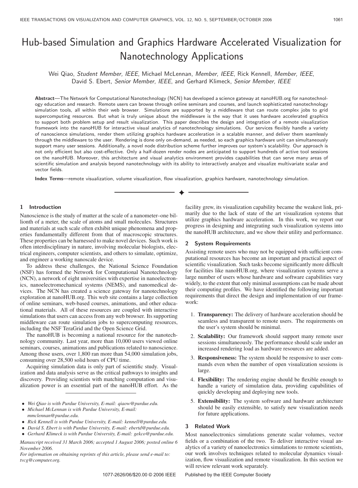## Hub-based Simulation and Graphics Hardware Accelerated Visualization for Nanotechnology Applications

#### Wei Qiao, *Student Member, IEEE*, Michael McLennan, *Member, IEEE*, Rick Kennell, *Member, IEEE*, David S. Ebert, Senior Member, IEEE, and Gerhard Klimeck, Senior Member, IEEE

Abstract—The Network for Computational Nanotechnology (NCN) has developed a science gateway at nanoHUB.org for nanotechnology education and research. Remote users can browse through online seminars and courses, and launch sophisticated nanotechnology simulation tools, all within their web browser. Simulations are supported by a middleware that can route complex jobs to grid supercomputing resources. But what is truly unique about the middleware is the way that it uses hardware accelerated graphics to support both problem setup and result visualization. This paper describes the design and integration of a remote visualization framework into the nanoHUB for interactive visual analytics of nanotechnology simulations. Our services flexibly handle a variety of nanoscience simulations, render them utilizing graphics hardware acceleration in a scalable manner, and deliver them seamlessly through the middleware to the user. Rendering is done only on-demand, as needed, so each graphics hardware unit can simultaneously support many user sessions. Additionally, a novel node distribution scheme further improves our system's scalability. Our approach is not only efficient but also cost-effective. Only a half-dozen render nodes are anticipated to support hundreds of active tool sessions on the nanoHUB. Moreover, this architecture and visual analytics environment provides capabilities that can serve many areas of scientific simulation and analysis beyond nanotechnology with its ability to interactively analyze and visualize multivariate scalar and vector fields.

✦

Index Terms—remote visualization, volume visualization, flow visualization, graphics hardware, nanotechnology simulation.

#### 1 Introduction

Nanoscience is the study of matter at the scale of a nanometer–one billionth of a meter, the scale of atoms and small molecules. Structures and materials at such scale often exhibit unique phenomena and properties fundamentally different from that of macroscopic structures. These properties can be harnessed to make novel devices. Such work is often interdisciplinary in nature, involving molecular biologists, electrical engineers, computer scientists, and others to simulate, optimize, and engineer a working nanoscale device.

To address these challenges, the National Science Foundation (NSF) has formed the Network for Computational Nanotechnology (NCN), a network of eight universities with expertise in nanoelectronics, nanoelectromechanical systems (NEMS), and nanomedical devices. The NCN has created a science gateway for nanotechnology exploration at nanoHUB.org. This web site contains a large collection of online seminars, web-based courses, animations, and other educational materials. All of these resources are coupled with interactive simulations that users can access from any web browser. Its supporting middleware can route simulation jobs to supercomputing resources, including the NSF TeraGrid and the Open Science Grid.

The nanoHUB is becoming a national resource for the nanotechnology community. Last year, more than 10,000 users viewed online seminars, courses, animations and publications related to nanoscience. Among those users, over 1,800 ran more than 54,000 simulation jobs, consuming over 28,500 solid hours of CPU time.

Acquiring simulation data is only part of scientific study. Visualization and data analysis serve as the critical pathways to insights and discovery. Providing scientists with matching computation and visualization power is an essential part of the nanoHUB effort. As the

- *Wei Qiao is with Purdue University, E-mail: qiaow@purdue.edu.*
- *Michael McLennan is with Purdue University, E-mail: mmclennan@purdue.edu.*
- *Rick Kennell is with Purdue University, E-mail: kennell@purdue.edu.*
- *David S. Ebert is with Purdue University, E-mail: ebertd@purdue.edu.*
- *Gerhard Klimeck is with Purdue University, E-mail: gekco@purdue.edu.*

*Manuscript received 31 March 2006; accepted 1 August 2006; posted online 6 November 2006.*

*For information on obtaining reprints of this article, please send e-mail to: tvcg@computer.org.*

facility grew, its visualization capability became the weakest link, primarily due to the lack of state of the art visualization systems that utilize graphics hardware acceleration. In this work, we report our progress in designing and integrating such visualization systems into the nanoHUB architecture, and we show their utility and performance.

#### **System Requirements**

Assisting remote users who may not be equipped with sufficient computational resources has become an important and practical aspect of scientific visualization. Such tasks become significantly more difficult for facilities like nanoHUB.org, where visualization systems serve a large number of users whose hardware and software capabilities vary widely, to the extent that only minimal assumptions can be made about their computing profiles. We have identified the following important requirements that direct the design and implementation of our framework:

- 1. Transparency: The delivery of hardware acceleration should be seamless and transparent to remote users. The requirements on the user's system should be minimal.
- 2. Scalability: Our framework should support many remote user sessions simultaneously. The performance should scale under an increased rendering load as hardware resources are added.
- 3. Responsiveness: The system should be responsive to user commands even when the number of open visualization sessions is large.
- 4. Flexibility: The rendering engine should be flexible enough to handle a variety of simulation data, providing capabilities of quickly developing and deploying new tools.
- 5. Extensibility: The system software and hardware architecture should be easily extensible, to satisfy new visualization needs for future applications.

#### 3 Related Work

Most nanoelectronics simulations generate scalar volumes, vector fields or a combination of the two. To deliver interactive visual analytics of a variety of nanoelectronics simulations to remote scientists, our work involves techniques related to molecular dynamics visualization, flow visualization and remote visualization. In this section we will review relevant work separately.

1077-2626/06/\$20.00 © 2006 IEEE Published by the IEEE Computer Society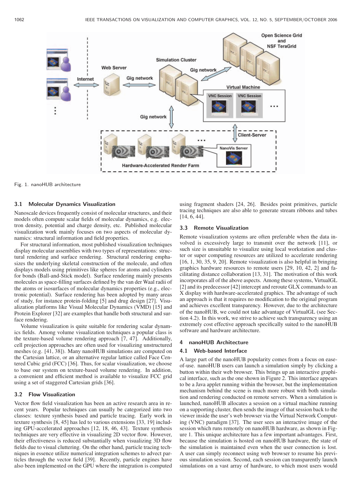

Fig. 1. nanoHUB architecture

#### 3.1 Molecular Dynamics Visualization

Nanoscale devices frequently consist of molecular structures, and their models often compute scalar fields of molecular dynamics, e.g. electron density, potential and charge density, etc. Published molecular visualization work mainly focuses on two aspects of molecular dynamics: structural information and field properties.

For structural information, most published visualization techniques display molecular assemblies with two types of representations: structural rendering and surface rendering. Structural rendering emphasizes the underlying skeletal construction of the molecule, and often displays models using primitives like spheres for atoms and cylinders for bonds (Ball-and-Stick model). Surface rendering mainly presents molecules as space-filling surfaces defined by the van der Waal radii of the atoms or isosurfaces of molecular dynamics properties (e.g., electronic potential). Surface rendering has been adopted by many areas of study, for instance protein-folding [5] and drug design [27]. Visualization platforms like Visual Molecular Dynamics (VMD) [15] and Protein Explorer [32] are examples that handle both structural and surface rendering.

Volume visualization is quite suitable for rendering scalar dynamics fields. Among volume visualization techniques a popular class is the texture-based volume rendering approach [7, 47]. Additionally, cell projection approaches are often used for visualizing unstructured meshes (e.g. [41, 38]). Many nanoHUB simulations are computed on the Cartesian lattice, or an alternative regular lattice called Face Centered Cubic grid (FCC) [36]. Thus, for scalar visualization, we choose to base our system on texture-based volume rendering. In addition, a convenient and efficient method is available to visualize FCC grid using a set of staggered Cartesian grids [36].

#### 3.2 Flow Visualization

Vector flow field visualization has been an active research area in recent years. Popular techniques can usually be categorized into two classes: texture synthesis based and particle tracing. Early work in texture synthesis [8, 45] has led to various extensions [33, 19] including GPU-accelerated approaches [12, 18, 46, 43]. Texture synthesis techniques are very effective in visualizing 2D vector flow. However, their effectiveness is reduced substantially when visualizing 3D flow fields due to visual cluttering. On the other hand, particle tracing techniques in essence utilize numerical integration schemes to advect particles through the vector field [39]. Recently, particle engines have also been implemented on the GPU where the integration is computed

using fragment shaders [24, 26]. Besides point primitives, particle tracing techniques are also able to generate stream ribbons and tubes [14, 6, 44].

#### 3.3 Remote Visualization

Remote visualization systems are often preferable when the data involved is excessively large to transmit over the network [11], or such size is unsuitable to visualize using local workstation and cluster or super computing resources are utilized to accelerate rendering [16, 1, 30, 35, 9, 20]. Remote visualization is also helpful in bringing graphics hardware resources to remote users [29, 10, 42, 2] and facilitating distance collaboration [13, 31]. The motivation of this work incorporates all of the above aspects. Among these systems, VirtualGL [2] and its predecessor [42] intercept and reroute GLX commands to an X display with hardware-accelerated graphics. The advantage of such an approach is that it requires no modification to the original program and achieves excellent transparency. However, due to the architecture of the nanoHUB, we could not take advantage of VirtualGL (see Section 4.2). In this work, we strive to achieve such transparency using an extremely cost effective approach specifically suited to the nanoHUB software and hardware architecture.

#### 4 nanoHUB Architecture

#### 4.1 Web-based Interface

A large part of the nanoHUB popularity comes from a focus on easeof-use. nanoHUB users can launch a simulation simply by clicking a button within their web browser. This brings up an interactive graphical interface, such as the one shown in Figure 2. This interface appears to be a Java applet running within the browser, but the implementation mechanism behind the scene is much more robust with both simulation and rendering conducted on remote servers. When a simulation is launched, nanoHUB allocates a session on a virtual machine running on a supporting cluster, then sends the image of that session back to the viewer inside the user's web browser via the Virtual Network Computing (VNC) paradigm [37]. The user sees an interactive image of the session which runs remotely on nanoHUB hardware, as shown in Figure 1. This unique architecture has a few important advantages. First, because the simulation is hosted on nanoHUB hardware, the state of the simulation is maintained even when the user connection is lost. A user can simply reconnect using web browser to resume his previous simulation session. Second, each session can transparently launch simulations on a vast array of hardware, to which most users would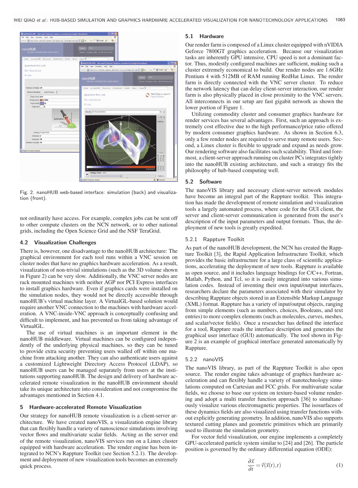

Fig. 2. nanoHUB web-based interface: simulation (back) and visualization (front).

not ordinarily have access. For example, complex jobs can be sent off to other compute clusters on the NCN network, or to other national grids, including the Open Science Grid and the NSF TeraGrid.

#### 4.2 Visualization Challenges

There is, however, one disadvantage to the nanoHUB architecture: The graphical environment for each tool runs within a VNC session on cluster nodes that have no graphics hardware acceleration. As a result, visualization of non-trivial simulations (such as the 3D volume shown in Figure 2) can be very slow. Additionally, the VNC server nodes are rack mounted machines with neither AGP nor PCI Express interfaces to install graphics hardware. Even if graphics cards were installed on the simulation nodes, they would not be directly accessible through nanoHUB's virtual machine layer. A VirtualGL-based solution would require another VNC connection to the machines with hardware acceleration. A VNC-inside-VNC approach is conceptually confusing and difficult to implement, and has prevented us from taking advantage of VirtualGL.

The use of virtual machines is an important element in the nanoHUB middleware. Virtual machines can be configured independently of the underlying physical machines, so they can be tuned to provide extra security preventing users walled off within one machine from attacking another. They can also authenticate users against a customized Lightweight Directory Access Protocol (LDAP), so nanoHUB users can be managed separately from users at the institutions supporting nanoHUB. The design and delivery of hardware accelerated remote visualization in the nanoHUB environment should take its unique architecture into consideration and not compromise the advantages mentioned in Section 4.1.

#### 5 Hardware-accelerated Remote Visualization

Our strategy for nanoHUB remote visualization is a client-server architecture. We have created nanoVIS, a visualization engine library that can flexibly handle a variety of nanoscience simulations involving vector flows and multivariate scalar fields. Acting as the server end of the remote visualization, nanoVIS services run on a Linux cluster equipped with hardware acceleration. The render engine has been integrated to NCN's Rappture Toolkit (see Section 5.2.1). The development and deployment of new visualization tools becomes an extremely quick process.

#### 5.1 Hardware

Our render farm is composed of a Linux cluster equipped with nVIDIA Geforce 7800GT graphics acceleration. Because our visualization tasks are inherently GPU intensive, CPU speed is not a dominant factor. Thus, modestly configured machines are sufficient, making such a cluster extremely economical to build. Our render nodes are 1.6GHz Pentium 4 with 512MB of RAM running RedHat Linux. The render farm is directly connected with the VNC server cluster. To reduce the network latency that can delay client-server interaction, our render farm is also physically placed in close proximity to the VNC servers. All interconnects in our setup are fast gigabit network as shown the lower portion of Figure 1.

Utilizing commodity cluster and consumer graphics hardware for render services has several advantages. First, such an approach is extremely cost effective due to the high performance/price ratio offered by modern consumer graphics hardware. As shown in Section 6.3, only a few render nodes are required to serve many remote users. Second, a Linux cluster is flexible to upgrade and expand as needs grow. Our rendering software also facilitates such scalability. Third and foremost, a client-server approach running on cluster PCs integrates tightly into the nanoHUB existing architecture, and such a strategy fits the philosophy of hub-based computing well.

#### 5.2 Software

The nanoVIS library and necessary client-server network modules have become an integral part of the Rappture toolkit. This integration has made the development of remote simulation and visualization tools a largely automated process, where code for the GUI client, the server and client-server communication is generated from the user's description of the input parameters and output formats. Thus, the deployment of new tools is greatly expedited.

#### 5.2.1 Rappture Toolkit

As part of the nanoHUB development, the NCN has created the Rappture Toolkit [3], the Rapid Application Infrastructure Toolkit, which provides the basic infrastructure for a large class of scientific applications, accelerating the deployment of new tools. Rappture is available as open source, and it includes language bindings for C/C++, Fortran, Matlab, Python, and Tcl, so it is easily integrated into various simulation codes. Instead of inventing their own input/output interfaces, researchers declare the parameters associated with their simulator by describing Rappture objects stored in an Extensible Markup Language (XML) format. Rappture has a variety of input/output objects, ranging from simple elements (such as numbers, choices, Booleans, and text entries) to more complex elements (such as molecules, curves, meshes, and scalar/vector fields). Once a researcher has defined the interface for a tool, Rappture reads the interface description and generates the graphical user interface (GUI) automatically. The tool shown in Figure 2 is an example of graphical interface generated automatically by Rappture.

#### 5.2.2 nanoVIS

The nanoVIS library, as part of the Rappture Toolkit is also open source. The render engine takes advantage of graphics hardware acceleration and can flexibly handle a variety of nanotechnology simulations computed on Cartesian and FCC grids. For multivariate scalar fields, we choose to base our system on texture-based volume rendering and adopt a multi transfer function approach [36] to simultaneously visualize various electromagnetic properties. The isosurfaces of these dynamics fields are also visualized using transfer functions without explicitly generating geometry. In addition, nanoVIS also supports textured cutting planes and geometric primitives which are primarily used to illustrate the simulation geometry.

For vector field visualization, our engine implements a completely GPU-accelerated particle system similar to [24] and [26]. The particle position is governed by the ordinary differential equation (ODE):

$$
\frac{\partial \vec{x}}{\partial t} = \vec{v}(\vec{x}(t), t) \tag{1}
$$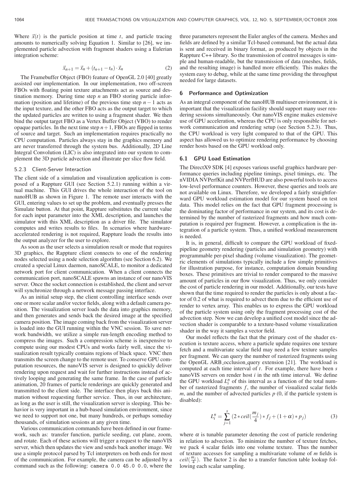Where  $\vec{x}(t)$  is the particle position at time *t*, and particle tracing amounts to numerically solving Equation 1. Similar to [26], we implemented particle advection with fragment shaders using a Eulerian integration scheme:

$$
\vec{x}_{n+1} = \vec{x}_n + (t_{n+1} - t_n) \cdot \vec{x}_n \tag{2}
$$

The Framebuffer Object (FBO) feature of OpenGL 2.0 [40] greatly assisted our implementation. In our implementation, two off-screen FBOs with floating point texture attachments act as source and destination memory. During time step *n* an FBO storing particle information (position and lifetime) of the previous time step  $n - 1$  acts as the input texture, and the other FBO acts as the output target to which the updated particles are written to using a fragment shader. We then bind the output target FBO as a Vertex Buffer Object (VBO) to render opaque particles. In the next time step  $n+1$ , FBOs are flipped in terms of source and target. Such an implementation requires practically no CPU computation. Particles always stay in the graphics memory and are never transferred through the system bus. Additionally, 2D Line Integral Convolution (LIC) is also integrated into our system to complement the 3D particle advection and illustrate per slice flow field.

#### 5.2.3 Client-Server Interaction

The client side of a simulation and visualization application is composed of a Rappture GUI (see Section 5.2.1) running within a virtual machine. This GUI drives the whole interaction of the tool on nanoHUB as shown in Figure 1. The remote user interacts with the GUI, entering values to set up the problem, and eventually presses the Simulate button. At that point, Rappture substitutes the current value for each input parameter into the XML description, and launches the simulator with this XML description as a driver file. The simulator computes and writes results to files. In scenarios where hardwareaccelerated rendering is not required, Rappture loads the results into the output analyzer for the user to explore.

As soon as the user selects a simulation result or mode that requires 3D graphics, the Rappture client connects to one of the rendering nodes selected using a node selection algorithm (see Section 6.2). We created a special Linux daemon, nanoSCALE, to monitor a dedicated network port for client communication. When a client connects the communication port, nanoSCALE spawns an instance of our nanoVIS server. Once the socket connection is established, the client and server will synchronize through a network message passing interface.

As an initial setup step, the client controlling interface sends over one or more scalar and/or vector fields, along with a default camera position. The visualization server loads the data into graphics memory, and then generates and sends back the desired image at the specified camera position. The image coming back from the visualization server is loaded into the GUI running within the VNC session. To save network bandwidth, we utilize a simple run-length encoding method to compress the images. Such a compression scheme is inexpensive to compute using our modest CPUs and works fairly well, since the visualization result typically contains regions of black space. VNC then transmits the screen change to the remote user. To conserve GPU computation resources, the nanoVIS server is designed to quickly deliver rendering upon request and wait for further instructions instead of actively looping and generating the same frame. In the case of particle animation, 20 frames of particle renderings are quickly generated and transmitted to the client side. The interface then plays back this animation without requesting further service. Thus, in our architecture, as long as the user is still, the visualization server is sleeping. This behavior is very important in a hub-based simulation environment, since we need to support not one, but many hundreds, or perhaps someday thousands, of simulation sessions at any given time.

Various communication commands have been defined in our framework, such as: transfer function, particle seeding, cut plane, zoom, and rotate. Each of these actions will trigger a request to the nanoVIS server, which then updates the view and sends back another image. We use a simple protocol parsed by Tcl interpreters on both ends for most of the communication. For example, the camera can be adjusted by a command such as the following: camera 0.0 45.0 0.0, where the three parameters represent the Euler angles of the camera. Meshes and fields are defined by a similar Tcl-based command, but the actual data is sent and received in binary format, as produced by objects in the Rappture C++ library. So the transmission of control messages is simple and human-readable, but the transmission of data (meshes, fields, and the resulting image) is handled more efficiently. This makes the system easy to debug, while at the same time providing the throughput needed for large datasets.

#### Performance and Optimization

As an integral component of the nanoHUB multiuser environment, it is important that the visualization facility should support many user rendering sessions simultaneously. Our nanoVIS engine makes extensive use of GPU acceleration, whereas the CPU is only responsible for network communication and rendering setup (see Section 5.2.3). Thus, the CPU workload is very light compared to that of the GPU. This aspect has allowed us to optimize rendering performance by choosing render hosts based on the GPU workload only.

#### 6.1 GPU Load Estimation

The DirectX9 SDK [4] exposes various useful graphics hardware performance queries including pipeline timings, pixel timings, etc. The nVIDIA NVPerfKit and NVPerfHUD are also powerful tools to access low-level performance counters. However, these queries and tools are not available on Linux. Therefore, we developed a fairly straightforward GPU workload estimation model for our system based on test data. This model relies on the fact that GPU fragment processing is the dominating factor of performance in our system, and its cost is determined by the number of rasterized fragments and how much computation is required per fragment. However, a complication is the integration of a particle system. Thus, a unified workload measurement is needed.

It is, in general, difficult to compare the GPU workload of fixedpipeline geometry rendering (particles and simulation geometry) with programmable per-pixel shading (volume visualization). The geometric elements of simulations typically include a few simple primitives for illustration purpose, for instance, computation domain bounding boxes. These primitives are trivial to render compared to the massive amount of particles in our flow visualization. Thus, we only consider the cost of particle rendering in our model. Additionally, our tests have shown that the time required to render the particles is only about a factor of 0.2 of what is required to advect them due to the efficient use of render to vertex array. This enables us to express the GPU workload of the particle system using only the fragment processing cost of the advection step. Now we can develop a unified cost model since the advection shader is comparable to a texture-based volume visualization shader in the way it samples a vector field.

Our model reflects the fact that the primary cost of the shader execution is texture access, where a particle update requires one texture fetch and a multivariate scalar field may need a few texture samples per fragment. We can query the number of rasterized fragments using the OpenGL ARB occlusion query extension [21]. The workload is computed at each time interval of *t*. For example, there have been *s* nanoVIS servers on render host *i* in the nth time interval. We define the GPU workload  $L_i^n$  of this interval as a function of the total number of rasterized fragments *f*, the number of visualized scalar fields  $m$ , and the number of advected particles  $p(0)$ , if the particle system is disabled):

$$
L_i^n = \sum_{j=1}^s (2 \cdot ceil(\frac{m_j}{4}) \cdot f_j + (1+\alpha) \cdot p_j)
$$
 (3)

where  $\alpha$  is tunable parameter denoting the cost of particle rendering in relation to advection. To minimize the number of texture fetches, we pack 4 scalar fields into one volume texture. Thus the number of texture accesses for sampling a multivariate volume of *m* fields is *ceil*( $\frac{m_j}{4}$ ). The factor 2 is due to a transfer function table lookup following each scalar sampling.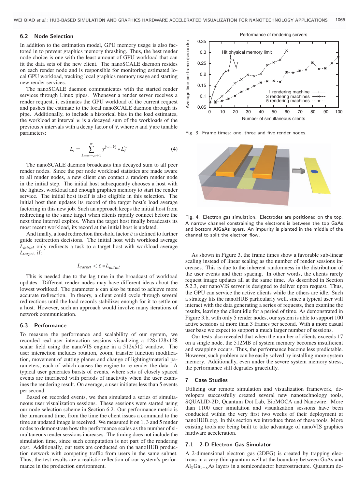#### 6.2 Node Selection

In addition to the estimation model, GPU memory usage is also factored in to prevent graphics memory thrashing. Thus, the best render node choice is one with the least amount of GPU workload that can fit the data sets of the new client. The nanoSCALE daemon resides on each render node and is responsible for monitoring estimated local GPU workload, tracking local graphics memory usage and starting new render services.

The nanoSCALE daemon communicates with the started render services through Linux pipes. Whenever a render server receives a render request, it estimates the GPU workload of the current request and pushes the estimate to the local nanoSCALE daemon through its pipe. Additionally, to include a historical bias in the load estimates, the workload at interval *w* is a decayed sum of the workloads of the previous *n* intervals with a decay factor of γ, where *n* and γ are tunable parameters:

$$
L_i = \sum_{k=w-n+1}^{w} \gamma^{(w-k)} * L_i^w
$$
 (4)

The nanoSCALE daemon broadcasts this decayed sum to all peer render nodes. Since the per node workload statistics are made aware to all render nodes, a new client can contact a random render node in the initial step. The initial host subsequently chooses a host with the lightest workload and enough graphics memory to start the render service. The initial host itself is also eligible in this selection. The initial host then updates its record of the target host's load average factoring in this new job. Such an approach keeps the initial host from redirecting to the same target when clients rapidly connect before the next time interval expires. When the target host finally broadcasts its most recent workload, its record at the initial host is updated.

And finally, a load redirection threshold factor  $\varepsilon$  is defined to further guide redirection decisions. The initial host with workload average *Linitial* only redirects a task to a target host with workload average  $L_{target}$ , if:

#### $L_{target} < \varepsilon * L_{initial}$

This is needed due to the lag time in the broadcast of workload updates. Different render nodes may have different ideas about the lowest workload. The parameter  $\varepsilon$  can also be tuned to achieve more accurate redirection. In theory, a client could cycle through several redirections until the load records stabilizes enough for it to settle on a host. However, such an approach would involve many iterations of network communication.

#### 6.3 Performance

To measure the performance and scalability of our system, we recorded real user interaction sessions visualizing a 128x128x128 scalar field using the nanoVIS engine in a 512x512 window. The user interaction includes rotation, zoom, transfer function modification, movement of cutting planes and change of lighting/material parameters, each of which causes the engine to re-render the data. A typical user generates bursts of events, where sets of closely spaced events are interlaced with periods of inactivity when the user examines the rendering result. On average, a user initiates less than 5 events per second.

Based on recorded events, we then simulated a series of simultaneous user visualization sessions. These sessions were started using our node selection scheme in Section 6.2. Our performance metric is the turnaround time, from the time the client issues a command to the time an updated image is received. We measured it on 1, 3 and 5 render nodes to demonstrate how the performance scales as the number of simultaneous render sessions increases. The timing does not include the simulation time, since such computation is not part of the rendering cost. Additionally, our tests are conducted on the nanoHUB production network with competing traffic from users in the same subnet. Thus, the test results are a realistic reflection of our system's performance in the production environment.



Fig. 3. Frame times: one, three and five render nodes.



Fig. 4. Electron gas simulation. Electrodes are positioned on the top. A narrow channel constraining the electrons is between the top GaAs and bottom AlGaAs layers. An impurity is planted in the middle of the channel to split the electron flow.

As shown in Figure 3, the frame times show a favorable sub-linear scaling instead of linear scaling as the number of render sessions increases. This is due to the inherent randomness in the distribution of the user events and their spacing. In other words, the clients rarely request image updates all at the same time. As described in Section 5.2.3, our nanoVIS server is designed to deliver upon request. Thus, the GPU can service the active clients while the others are idle. Such a strategy fits the nanoHUB particularly well, since a typical user will interact with the data generating a series of requests, then examine the results, leaving the client idle for a period of time. As demonstrated in Figure 3.b, with only 5 render nodes, our system is able to support 100 active sessions at more than 3 frames per second. With a more casual user base we expect to support a much larger number of sessions.

Our tests also revealed that when the number of clients exceeds 17 on a single node, the 512MB of system memory becomes insufficient and swapping occurs. Thus, the performance become less predictable. However, such problem can be easily solved by installing more system memory. Additionally, even under the severe system memory stress, the performance still degrades gracefully.

#### 7 Case Studies

Utilizing our remote simulation and visualization framework, developers successfully created several new nanotechnology tools, SQUALID-2D, Quantum Dot Lab, BioMOCA and Nanowire. More than 1100 user simulation and visualization sessions have been conducted within the very first two weeks of their deployment at nanoHUB.org. In this section we introduce three of these tools. More existing tools are being built to take advantage of nanoVIS graphics hardware acceleration.

#### 7.1 2-D Electron Gas Simulator

A 2-dimensional electron gas (2DEG) is created by trapping electrons in a very thin quantum well at the boundary between GaAs and  $\text{Al}_x\text{Ga}_{1-x}\text{As}$  layers in a semiconductor heterostructure. Quantum de-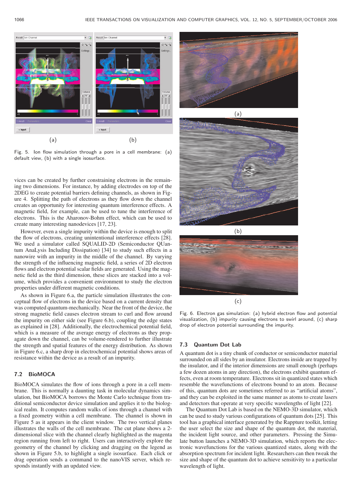

Fig. 5. Ion flow simulation through a pore in a cell membrane: (a) default view, (b) with a single isosurface.

vices can be created by further constraining electrons in the remaining two dimensions. For instance, by adding electrodes on top of the 2DEG to create potential barriers defining channels, as shown in Figure 4. Splitting the path of electrons as they flow down the channel creates an opportunity for interesting quantum interference effects. A magnetic field, for example, can be used to tune the interference of electrons. This is the Aharonov-Bohm effect, which can be used to create many interesting nanodevices [17, 23].

However, even a single impurity within the device is enough to split the flow of electrons, creating unintentional interference effects [28]. We used a simulator called SQUALID-2D (Semiconductor QUantum AnaLysis Including Dissipation) [34] to study such effects in a nanowire with an impurity in the middle of the channel. By varying the strength of the influencing magnetic field, a series of 2D electron flows and electron potential scalar fields are generated. Using the magnetic field as the third dimension, these slices are stacked into a volume, which provides a convenient environment to study the electron properties under different magnetic conditions.

As shown in Figure 6.a, the particle simulation illustrates the conceptual flow of electrons in the device based on a current density that was computed quantum-mechanically. Near the front of the device, the strong magnetic field causes electron stream to curl and flow around the impurity on either side (see Figure 6.b), coupling the edge states as explained in [28]. Additionally, the electrochemical potential field, which is a measure of the average energy of electrons as they propagate down the channel, can be volume-rendered to further illustrate the strength and spatial features of the energy distribution. As shown in Figure 6.c, a sharp drop in electrochemical potential shows areas of resistance within the device as a result of an impurity.

#### 7.2 BioMOCA

BioMOCA simulates the flow of ions through a pore in a cell membrane. This is normally a daunting task in molecular dynamics simulation, but BioMOCA borrows the Monte Carlo technique from traditional semiconductor device simulation and applies it to the biological realm. It computes random walks of ions through a channel with a fixed geometry within a cell membrane. The channel is shown in Figure 5 as it appears in the client window. The two vertical planes illustrates the walls of the cell membrane. The cut plane shows a 2 dimensional slice with the channel clearly highlighted as the magenta region running from left to right. Users can interactively explore the geometry of the channel by clicking and dragging on the legend as shown in Figure 5.b, to highlight a single isosurface. Each click or drag operation sends a command to the nanoVIS server, which responds instantly with an updated view.







Fig. 6. Electron gas simulation: (a) hybrid electron flow and potential visualization, (b) impurity causing electrons to swirl around, (c) sharp drop of electron potential surrounding the impurity.

#### 7.3 Quantum Dot Lab

A quantum dot is a tiny chunk of conductor or semiconductor material surrounded on all sides by an insulator. Electrons inside are trapped by the insulator, and if the interior dimensions are small enough (perhaps a few dozen atoms in any direction), the electrons exhibit quantum effects, even at room temperature. Electrons sit in quantized states which resemble the wavefunctions of electrons bound to an atom. Because of this, quantum dots are sometimes referred to as "artificial atoms", and they can be exploited in the same manner as atoms to create lasers and detectors that operate at very specific wavelengths of light [22].

The Quantum Dot Lab is based on the NEMO-3D simulator, which can be used to study various configurations of quantum dots [25]. This tool has a graphical interface generated by the Rappture toolkit, letting the user select the size and shape of the quantum dot, the material, the incident light source, and other parameters. Pressing the Simulate button launches a NEMO-3D simulation, which reports the electronic wavefunctions for the various quantized states, along with the absorption spectrum for incident light. Researchers can then tweak the size and shape of the quantum dot to achieve sensitivity to a particular wavelength of light.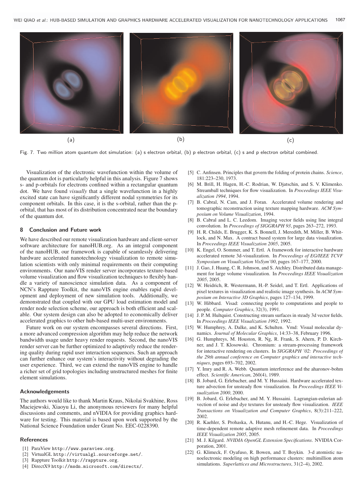

Fig. 7. Two million atom quantum dot simulation: (a) s electron orbital, (b) p electron orbital, (c) s and p electron orbital combined.

Visualization of the electronic wavefunction within the volume of the quantum dot is particularly helpful in this analysis. Figure 7 shows s- and p-orbitals for electrons confined within a rectangular quantum dot. We have found *visually* that a single wavefunction in a highly excited state can have significantly different nodal symmetries for its component orbitals. In this case, it is the s-orbital, rather than the porbital, that has most of its distribution concentrated near the boundary of the quantum dot.

#### 8 Conclusion and Future work

We have described our remote visualization hardware and client-server software architecture for nanoHUB.org. As an integral component of the nanoHUB, our framework is capable of seamlessly delivering hardware accelerated nanotechnology visualization to remote simulation scientists with only minimal requirements on their computing environments. Our nanoVIS render server incorporates texture-based volume visualization and flow visualization techniques to flexibly handle a variety of nanoscience simulation data. As a component of NCN's Rappture Toolkit, the nanoVIS engine enables rapid development and deployment of new simulation tools. Additionally, we demonstrated that coupled with our GPU load estimation model and render node selection scheme, our approach is both efficient and scalable. Our system design can also be adopted to economically deliver accelerated graphics to other hub-based multi-user environments.

Future work on our system encompasses several directions. First, a more advanced compression algorithm may help reduce the network bandwidth usage under heavy render requests. Second, the nanoVIS render server can be further optimized to adaptively reduce the rendering quality during rapid user interaction sequences. Such an approach can further enhance our system's interactivity without degrading the user experience. Third, we can extend the nanoVIS engine to handle a richer set of grid topologies including unstructured meshes for finite element simulations.

#### Acknowledgements

The authors would like to thank Martin Kraus, Nikolai Svakhine, Ross Maciejewski, Xiaoyu Li, the anonymous reviewers for many helpful discussions and comments, and nVIDIA for providing graphics hardware for testing. This material is based upon work supported by the National Science Foundation under Grant No. EEC-0228390.

#### References

- [1] ParaView http://www.paraview.org.
- [2] VirtualGL http://virtualgl.sourceforge.net/.
- [3] Rappture Toolkit http://rappture.org.
- [4] DirectX9 http://msdn.microsoft.com/directx/.
- [5] C. Anfinsen. Principles that govern the folding of protein chains. *Science*, 181:223–230, 1973.
- [6] M. Brill, H. Hagen, H.-C. Rodrian, W. Djatschin, and S. V. Klimenko. Streamball techniques for flow visualization. In *Proceedings IEEE Visualization 1994*, 1994.
- [7] B. Cabral, N. Cam, and J. Foran. Accelerated volume rendering and tomographic reconstruction using texture mapping hardware. *ACM Symposium on Volume Visualization*, 1994.
- [8] B. Cabral and L. C. Leedom. Imaging vector fields using line integral convolution. In *Proceedings of SIGGRAPH 93*, pages 263–272, 1993.
- [9] H. R. Childs, E. Brugger, K. S. Bonnell, J. Meredith, M. Miller, B. Whitlock, and N. Max. A contract based system for large data visualization. In *Proceedings IEEE Visualization 2005*, 2005.
- [10] K. Engel, O. Sommer, and T. Ertl. A framework for interactive hardware accelerated remote 3d-visualization. In *Proceedings of EG/IEEE TCVF Symposium on Visualization VisSym'00*, pages 167–177, 2000.
- [11] J. Gao, J. Huang, C. R. Johnson, and S. Atchley. Distributed data management for large volume visualization. In *Proceedings IEEE Visualization 2005*, 2005.
- [12] W. Heidrich, R. Westermann, H.-P. Seidel, and T. Ertl. Applications of pixel textures in visualization and realistic image synthesis. In *ACM Symposium on Interactive 3D Graphics*, pages 127–134, 1999.
- [13] W. Hibbard. Visad: connecting people to computations and people to people. *Computer Graphics*, 32(3), 1991.
- [14] J. P. M. Hultquist. Constructing stream surfaces in steady 3d vector fields. In *Proceedings IEEE Visualization 1992*, 1992.
- [15] W. Humphrey, A. Dalke, and K. Schulten. Vmd: Visual molecular dynamics. *Journal of Molecular Graphics*, 14:33–38, February 1996.
- [16] G. Humphreys, M. Houston, R. Ng, R. Frank, S. Ahern, P. D. Kirchner, and J. T. Klosowski. Chromium: a stream-processing framework for interactive rendering on clusters. In *SIGGRAPH '02: Proceedings of the 29th annual conference on Computer graphics and interactive techniques*, pages 693–702, 2002.
- [17] Y. Imry and R. A. Webb. Quantum interference and the aharonov-bohm effect. *Scientific American*, 260(4), 1989.
- [18] B. Jobard, G. Erlebacher, and M. Y. Hussaini. Hardware accelerated texture advection for unsteady flow visualization. In *Proceedings IEEE Visualization 2000*, 2000.
- [19] B. Jobard, G. Erlebacher, and M. Y. Hussaini. Lagrangian-eulerian advection of noise and dye textures for unsteady flow visualization. *IEEE Transactions on Visualization and Computer Graphics*, 8(3):211–222, 2002.
- [20] R. Kaehler, S. Prohaska, A. Hutanu, and H.-C. Hege. Visualization of time-dependent remote adaptive mesh refinement data. In *Proceedings IEEE Visualization 2005*, 2005.
- [21] M. J. Kilgard. *NVIDIA OpenGL Extension Specifications*. NVIDIA Corporation, 2001.
- [22] G. Klimeck, F. Oyafuso, R. Bowen, and T. Boykin. 3-d atomistic nanoelectronic modeling on high performance clusters: multimillion atom simulations. *Superlattices and Microstructures*, 31(2–4), 2002.